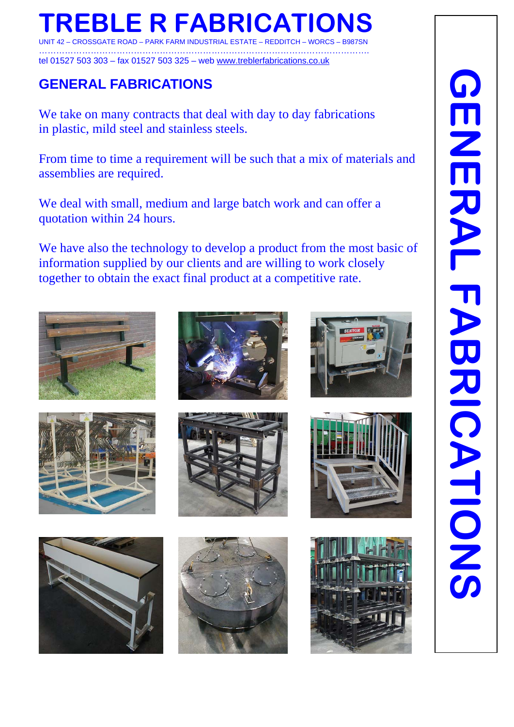# **TREBLE R FABRICATIONS**

UNIT 42 – CROSSGATE ROAD – PARK FARM INDUSTRIAL ESTATE – REDDITCH – WORCS – B987SN ……………………………………………………………………………………………………. tel 01527 503 303 – fax 01527 503 325 – web www.treblerfabrications.co.uk

# **GENERAL FABRICATIONS**

We take on many contracts that deal with day to day fabrications in plastic, mild steel and stainless steels.

From time to time a requirement will be such that a mix of materials and assemblies are required.

We deal with small, medium and large batch work and can offer a quotation within 24 hours.

We have also the technology to develop a product from the most basic of information supplied by our clients and are willing to work closely together to obtain the exact final product at a competitive rate.















 $\mathsf{I}$ 



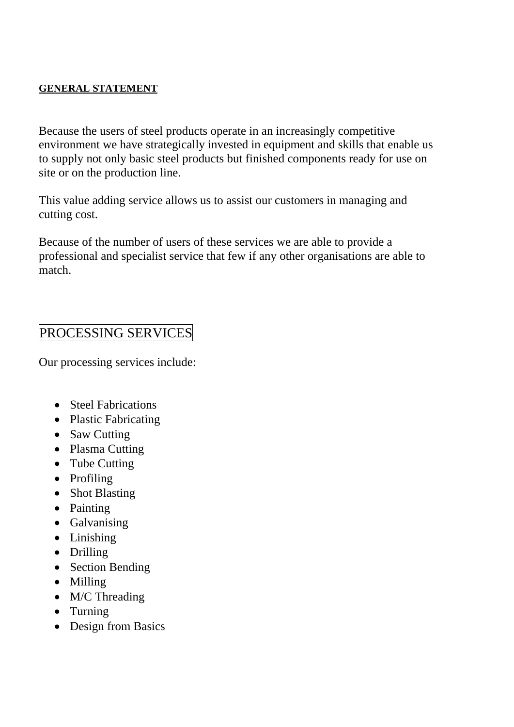#### **GENERAL STATEMENT**

Because the users of steel products operate in an increasingly competitive environment we have strategically invested in equipment and skills that enable us to supply not only basic steel products but finished components ready for use on site or on the production line.

This value adding service allows us to assist our customers in managing and cutting cost.

Because of the number of users of these services we are able to provide a professional and specialist service that few if any other organisations are able to match.

#### PROCESSING SERVICES

Our processing services include:

- Steel Fabrications
- Plastic Fabricating
- Saw Cutting
- Plasma Cutting
- Tube Cutting
- Profiling
- Shot Blasting
- Painting
- Galvanising
- Linishing
- Drilling
- Section Bending
- Milling
- M/C Threading
- Turning
- Design from Basics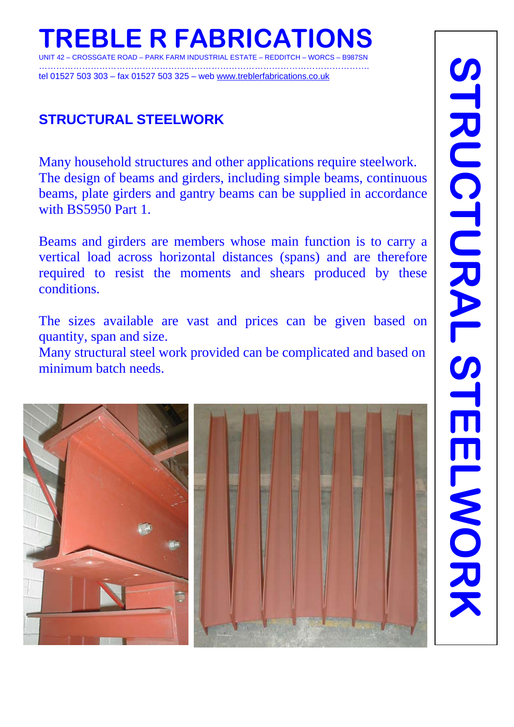#### **REBLE R FABRICATI** – CROSSGATE ROAD – PARK FARM INDUSTRIAL ESTATE – REDDITCH –

……………………………………………………………………………………………………. tel 01527 503 303 – fax 01527 503 325 – web www.treblerfabrications.co.uk

## **STRUCTURAL STEELWORK**

Many household structures and other applications require steelwork. The design of beams and girders, including simple beams, continuous beams, plate girders and gantry beams can be supplied in accordance with BS5950 Part 1.

Beams and girders are members whose main function is to carry a vertical load across horizontal distances (spans) and are therefore required to resist the moments and shears produced by these conditions.

The sizes available are vast and prices can be given based on quantity, span and size.

Many structural steel work provided can be complicated and based on minimum batch needs.

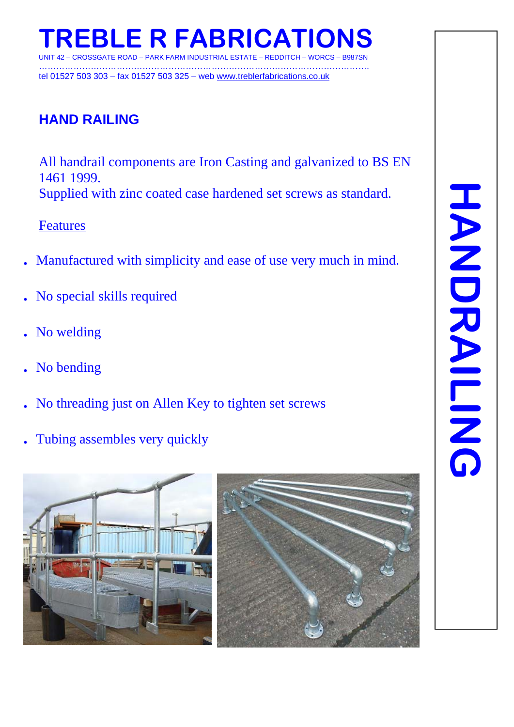#### **EBLE R FABRICAT** - PARK FARM INDUSTRIAL ESTATE – REDDITCH

……………………………………………………………………………………………………. tel 01527 503 303 – fax 01527 503 325 – web www.treblerfabrications.co.uk

#### **HAND RAILING**

All handrail components are Iron Casting and galvanized to BS EN 1461 1999. Supplied with zinc coated case hardened set screws as standard.

Features

- **.** Manufactured with simplicity and ease of use very much in mind.
- **.** No special skills required
- **.** No welding
- **.** No bending
- **.** No threading just on Allen Key to tighten set screws
- **.** Tubing assembles very quickly

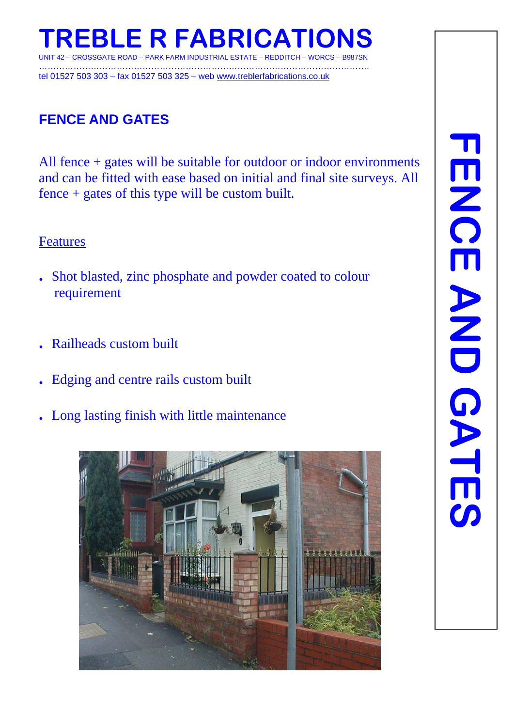

……………………………………………………………………………………………………. tel 01527 503 303 – fax 01527 503 325 – web www.treblerfabrications.co.uk

#### **FENCE AND GATES**

All fence + gates will be suitable for outdoor or indoor environments and can be fitted with ease based on initial and final site surveys. All fence + gates of this type will be custom built.

#### Features

- **.** Shot blasted, zinc phosphate and powder coated to colour requirement
- **.** Railheads custom built
- **.** Edging and centre rails custom built
- **.** Long lasting finish with little maintenance